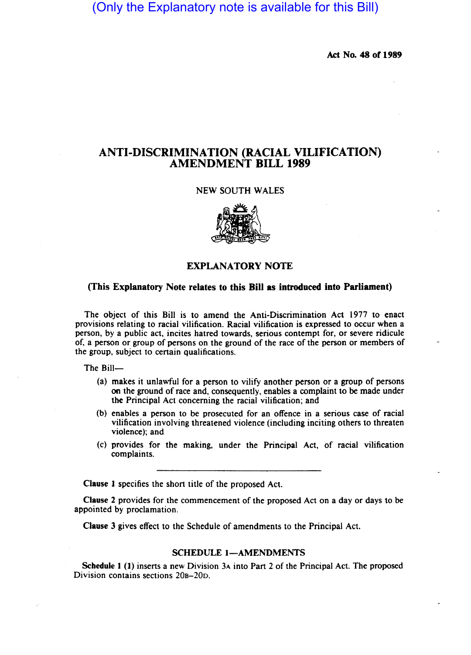(Only the Explanatory note is available for this Bill)

Act No. 48 or 1989

# ANTI-DISCRIMINATION (RACIAL VILIFICATION) AMENDMENT BILL 1989

#### NEW SOUTH WALES



# EXPLANATORY NOTE

# (This Explanatory Note relates to this Bill as introduced into Parliament)

The object of this Bill is to amend the Anti-Discrimination Act 1977 to enact provisions relating to racial vilification. Racial vilification is expressed to occur when a person, by a public act, incites hatred towards, serious contempt for, or severe ridicule of, a person or group of persons on the ground of the race of the person or members of the group, subject to certain qualifications.

The Bill-

- (a) makes it unlawful for a person to vilify another person or a group of persons on the ground of race and, consequently, enables a complaint to be made under the Principal Act concerning the racial vilification; and
- (b) enables a person to be prosecuted for an offence in a serious case of racial vilification involving threatened violence (including inciting others to threaten violence); and
- (c) provides for the making, under the Principal Act, of racial vilification complaints.

Clause 1 specifies the short title of the proposed Act.

Clause 2 provides for the commencement of the proposed Act on a day or days to be appointed by proclamation.

Clause 3 gives effect to the Schedule of amendments to the Principal Act.

## SCHEDULE 1-AMENDMENTS

Schedule 1 (1) inserts a new Division 3A into Part 2 of the Principal Act. The proposed Division contains sections 20B-20D.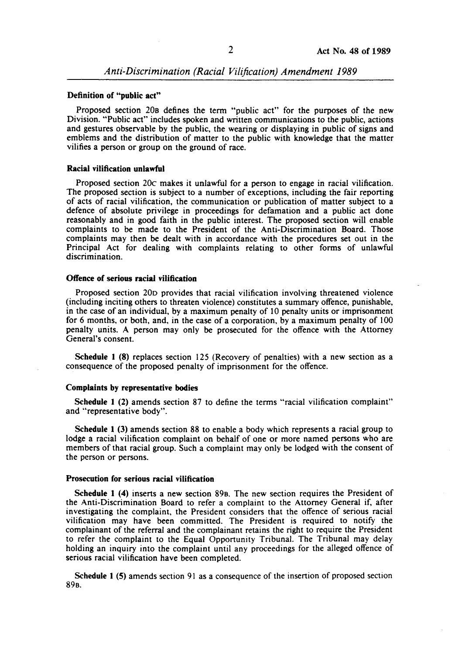#### Definition of "public act"

Proposed section 20B defines the term "public act" for the purposes of the new Division. "Public act" includes spoken and written communications to the public, actions and gestures observable by the public, the wearing or displaying in public of signs and emblems and the distribution of matter to the public with knowledge that the matter vilifies a person or group on the ground of race.

#### Racial vilification unlawful

Proposed section 20c makes it unlawful for a person to engage in racial vilification. The proposed section is subject to a number of exceptions, including the fair reporting of acts of racial vilification, the communication or publication of matter subject to a defence of absolute privilege in proceedings for defamation and a public act done reasonably and in good faith in the public interest. The proposed section will enable complaints to be made to the President of the Anti-Discrimination Board. Those complaints may then be dealt with in accordance with the procedures set out in the Principal Act for dealing with complaints relating to other forms of unlawful discrimination.

#### Offence of serious racial vilification

Proposed section 200 provides that racial vilification involving threatened violence (including inciting others to threaten violence) constitutes a summary offence, punishable, in the case of an individual, by a maximum penalty of 10 penalty units or imprisonment for 6 months. or both, and, in the case of a corporation, by a maximum penalty of 100 penalty units. A person may only be prosecuted for the offence with the Attorney General's consent.

Schedule 1 (8) replaces section 125 (Recovery of penalties) with a new section as a consequence of the proposed penalty of imprisonment for the offence.

#### Complaints by representative bodies

Schedule 1 (2) amends section 87 to define the terms "racial vilification complaint" and "representative body".

Schedule 1 (3) amends section 88 to enable a body which represents a racial group to lodge a racial vilification complaint on behalf of one or more named persons who are members of that racial group. Such a complaint may only be lodged with the consent of the person or persons.

#### Prosecution for serious racial vilification

Schedule 1 (4) inserts a new section 89B. The new section requires the President of the Anti-Discrimination Board to refer a complaint to the Attorney General if, after investigating the complaint. the President considers that the offence of serious racial vilification may have been committed. The President is required to notify the complainant of the referral and the complainant retains the right to require the President to refer the complaint to the Equal Opportunity Tribunal. The Tribunal may delay holding an inquiry into the complaint until any proceedings for the alleged offence of serious racial vilification have been completed.

Schedule 1 (5) amends section 91 as a consequence of the insertion of proposed section 89B.